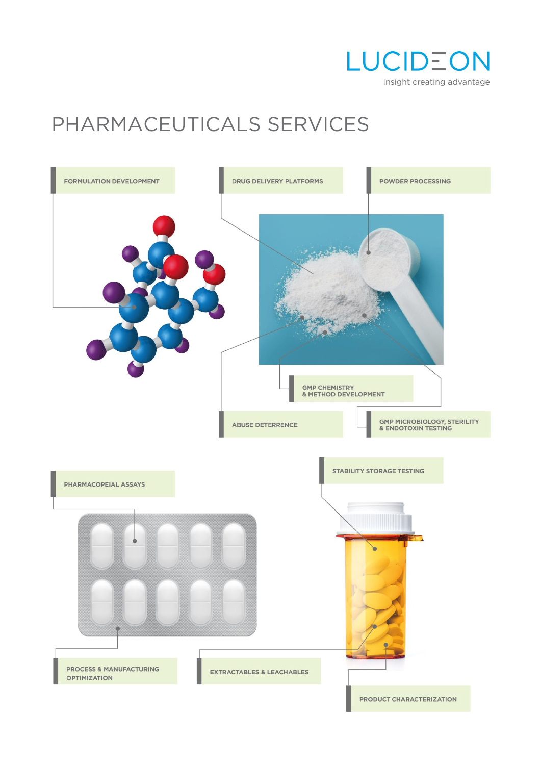

# PHARMACEUTICALS SERVICES